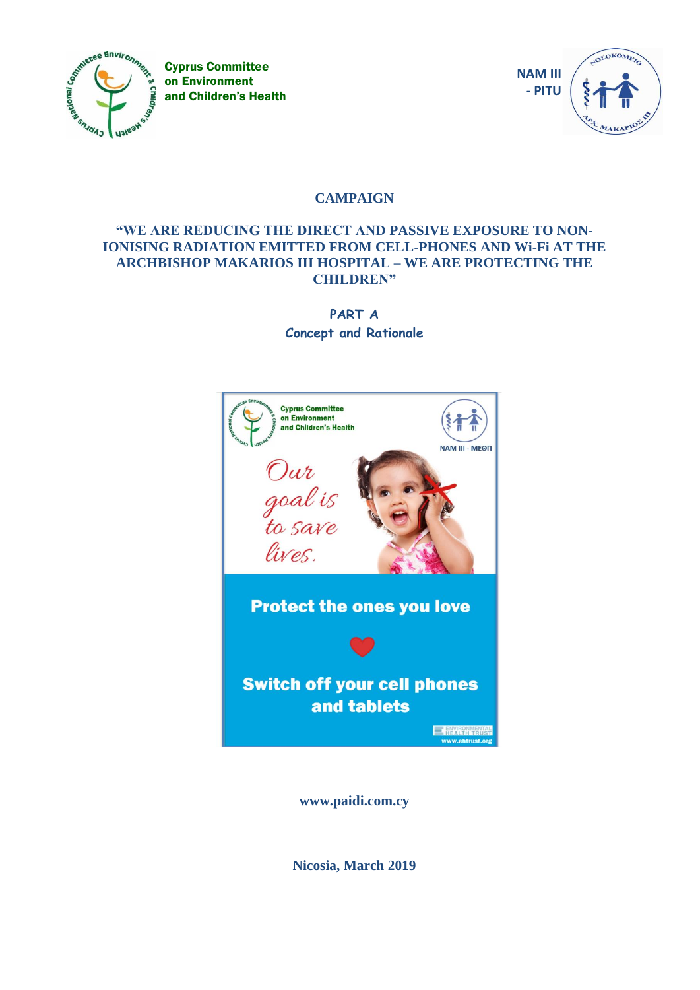

Cyprus Committee on Environment and Children's Health



# **CAMPAIGN**

## **"WE ARE REDUCING THE DIRECT AND PASSIVE EXPOSURE TO NON-IONISING RADIATION EMITTED FROM CELL-PHONES AND Wi-Fi AT THE ARCHBISHOP MAKARIOS III HOSPITAL – WE ARE PROTECTING THE CHILDREN"**

**PART A Concept and Rationale**



**www.paidi.com.cy**

**Nicosia, March 2019**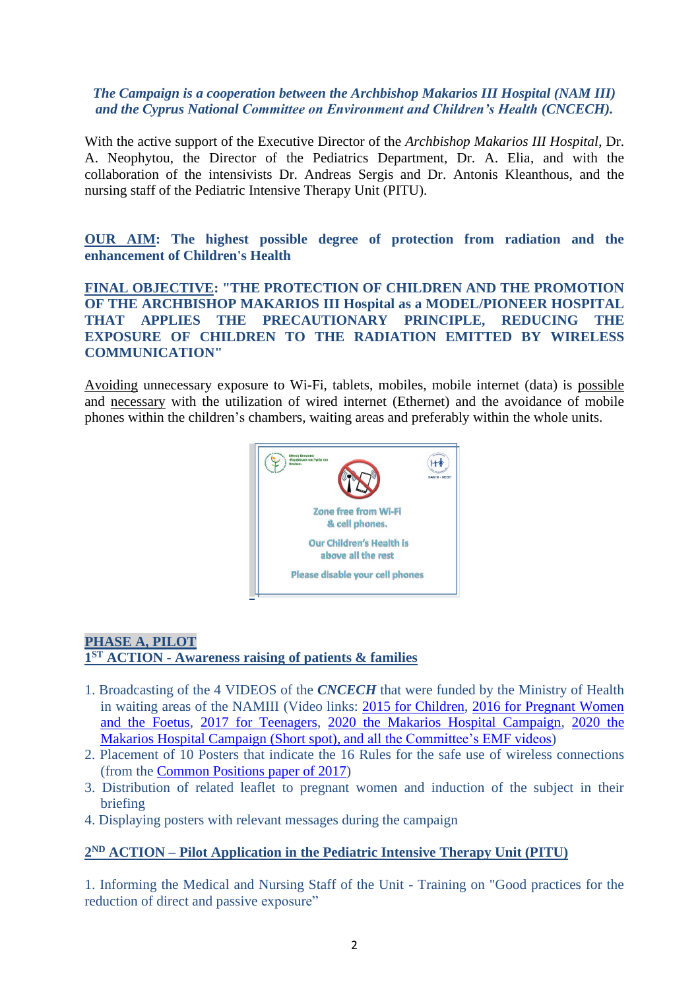#### *The Campaign is a cooperation between the Archbishop Makarios III Hospital (NAM III) and the Cyprus National Committee on Environment and Children's Health (CNCECH).*

With the active support of the Executive Director of the *Archbishop Makarios III Hospital*, Dr. A. Neophytou, the Director of the Pediatrics Department, Dr. A. Elia, and with the collaboration of the intensivists Dr. Andreas Sergis and Dr. Antonis Kleanthous, and the nursing staff of the Pediatric Intensive Therapy Unit (PITU).

**OUR AIM: The highest possible degree of protection from radiation and the enhancement of Children's Health**

**FINAL OBJECTIVE: "THE PROTECTION OF CHILDREN AND THE PROMOTION OF THE ARCHBISHOP MAKARIOS III Hospital as a MODEL/PIONEER HOSPITAL THAT APPLIES THE PRECAUTIONARY PRINCIPLE, REDUCING THE EXPOSURE OF CHILDREN TO THE RADIATION EMITTED BY WIRELESS COMMUNICATION"**

Avoiding unnecessary exposure to Wi-Fi, tablets, mobiles, mobile internet (data) is possible and necessary with the utilization of wired internet (Ethernet) and the avoidance of mobile phones within the children's chambers, waiting areas and preferably within the whole units.



## **PHASE A, PILOT 1 ST ACTION - Awareness raising of patients & families**

- 1. Broadcasting of the 4 VIDEOS of the *CNCECH* that were funded by the Ministry of Health in waiting areas of the NAMIII (Video links: [2015 for Children,](https://youtu.be/TmSEpBGBd-c) [2016 for Pregnant Women](https://youtu.be/xVofUavHH-I)  [and the Foetus,](https://youtu.be/xVofUavHH-I) [2017 for Teenagers,](https://youtu.be/TGHNh4aVet8) [2020 the Makarios Hospital Campaign,](https://youtu.be/D0KyQjFfs-A) [2020 the](https://www.youtube.com/watch?v=LuZGXJOcRko&feature=youtu.be)  [Makarios Hospital Campaign](https://www.youtube.com/watch?v=LuZGXJOcRko&feature=youtu.be) (Short spot), [and all the Committee's EMF videos\)](http://paidi.com.cy/videos-emf-280519/?lang=en)
- 2. Placement of 10 Posters that indicate the 16 Rules for the safe use of wireless connections (from the [Common Positions paper of 2017\)](http://paidi.com.cy/wp-content/uploads/2019/05/Com-Pos-EN_-F.pdf)
- 3. Distribution of related leaflet to pregnant women and induction of the subject in their briefing
- 4. Displaying posters with relevant messages during the campaign

## **2 ND ACTION – Pilot Application in the Pediatric Intensive Therapy Unit (PITU)**

1. Informing the Medical and Nursing Staff of the Unit - Training on "Good practices for the reduction of direct and passive exposure"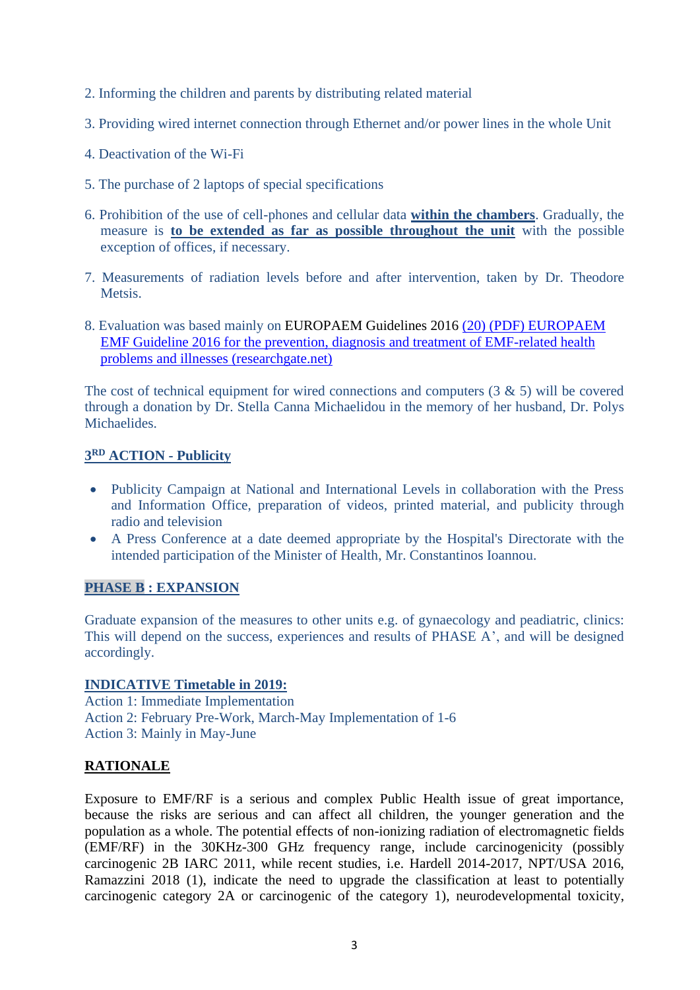- 2. Informing the children and parents by distributing related material
- 3. Providing wired internet connection through Ethernet and/or power lines in the whole Unit
- 4. Deactivation of the Wi-Fi
- 5. The purchase of 2 laptops of special specifications
- 6. Prohibition of the use of cell-phones and cellular data **within the chambers**. Gradually, the measure is **to be extended as far as possible throughout the unit** with the possible exception of offices, if necessary.
- 7. Measurements of radiation levels before and after intervention, taken by Dr. Theodore Metsis.
- 8. Evaluation was based mainly on EUROPAEM Guidelines 2016 [\(20\) \(PDF\) EUROPAEM](https://www.researchgate.net/publication/305689940_EUROPAEM_EMF_Guide) EMF Guideline 2016 for the [prevention, diagnosis](https://www.researchgate.net/publication/305689940_EUROPAEM_EMF_Guide) and treatment of EMF-related health problems and illnesses [\(researchgate.net\)](https://www.researchgate.net/publication/305689940_EUROPAEM_EMF_Guide)

The cost of technical equipment for wired connections and computers  $(3 \& 5)$  will be covered through a donation by Dr. Stella Canna Michaelidou in the memory of her husband, Dr. Polys **Michaelides** 

#### **3 RD ACTION - Publicity**

- Publicity Campaign at National and International Levels in collaboration with the Press and Information Office, preparation of videos, printed material, and publicity through radio and television
- A Press Conference at a date deemed appropriate by the Hospital's Directorate with the intended participation of the Minister of Health, Mr. Constantinos Ioannou.

## **PHASE B : EXPANSION**

Graduate expansion of the measures to other units e.g. of gynaecology and peadiatric, clinics: This will depend on the success, experiences and results of PHASE A', and will be designed accordingly.

## **INDICATIVE Timetable in 2019:**

Action 1: Immediate Implementation Action 2: February Pre-Work, March-May Implementation of 1-6 Action 3: Mainly in May-June

## **RATIONALE**

Exposure to EMF/RF is a serious and complex Public Health issue of great importance, because the risks are serious and can affect all children, the younger generation and the population as a whole. The potential effects of non-ionizing radiation of electromagnetic fields (EMF/RF) in the 30KHz-300 GHz frequency range, include carcinogenicity (possibly carcinogenic 2B IARC 2011, while recent studies, i.e. Hardell 2014-2017, NPT/USA 2016, Ramazzini 2018 (1), indicate the need to upgrade the classification at least to potentially carcinogenic category 2A or carcinogenic of the category 1), neurodevelopmental toxicity,